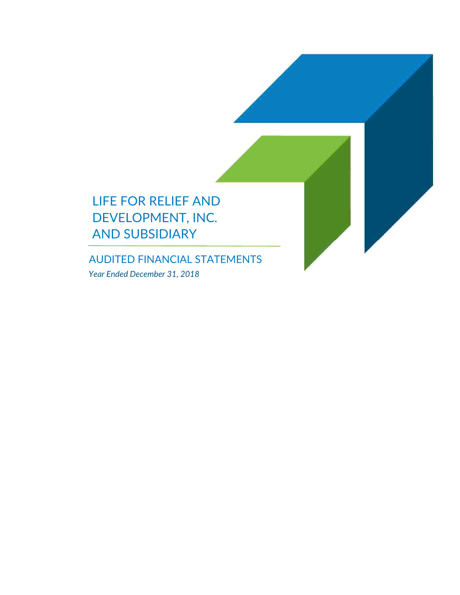

AUDITED FINANCIAL STATEMENTS *Year Ended December 31, 2018*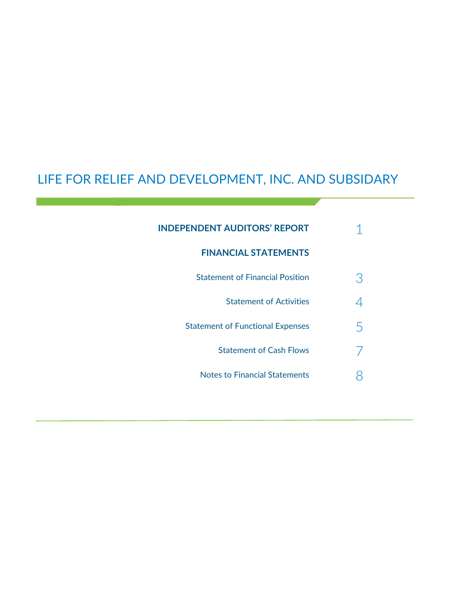# LIFE FOR RELIEF AND DEVELOPMENT, INC. AND SUBSIDARY

| $\overline{\phantom{0}}$ |
|--------------------------|
|                          |
|                          |
|                          |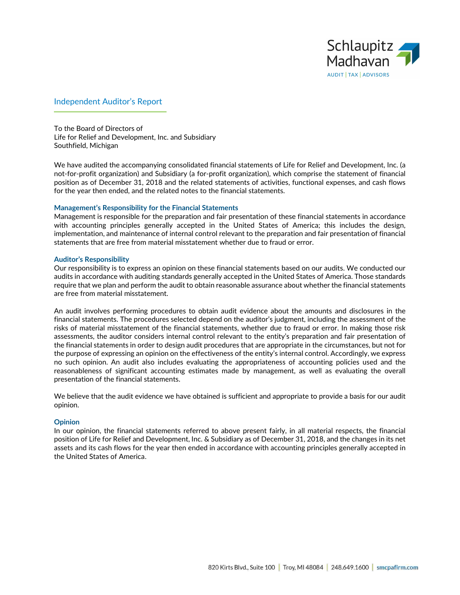

## Independent Auditor's Report

To the Board of Directors of Life for Relief and Development, Inc. and Subsidiary Southfield, Michigan

We have audited the accompanying consolidated financial statements of Life for Relief and Development, Inc. (a not-for-profit organization) and Subsidiary (a for-profit organization), which comprise the statement of financial position as of December 31, 2018 and the related statements of activities, functional expenses, and cash flows for the year then ended, and the related notes to the financial statements.

#### **Management's Responsibility for the Financial Statements**

Management is responsible for the preparation and fair presentation of these financial statements in accordance with accounting principles generally accepted in the United States of America; this includes the design, implementation, and maintenance of internal control relevant to the preparation and fair presentation of financial statements that are free from material misstatement whether due to fraud or error.

#### **Auditor's Responsibility**

Our responsibility is to express an opinion on these financial statements based on our audits. We conducted our audits in accordance with auditing standards generally accepted in the United States of America. Those standards require that we plan and perform the audit to obtain reasonable assurance about whether the financial statements are free from material misstatement.

An audit involves performing procedures to obtain audit evidence about the amounts and disclosures in the financial statements. The procedures selected depend on the auditor's judgment, including the assessment of the risks of material misstatement of the financial statements, whether due to fraud or error. In making those risk assessments, the auditor considers internal control relevant to the entity's preparation and fair presentation of the financial statements in order to design audit procedures that are appropriate in the circumstances, but not for the purpose of expressing an opinion on the effectiveness of the entity's internal control. Accordingly, we express no such opinion. An audit also includes evaluating the appropriateness of accounting policies used and the reasonableness of significant accounting estimates made by management, as well as evaluating the overall presentation of the financial statements.

We believe that the audit evidence we have obtained is sufficient and appropriate to provide a basis for our audit opinion.

#### **Opinion**

In our opinion, the financial statements referred to above present fairly, in all material respects, the financial position of Life for Relief and Development, Inc. & Subsidiary as of December 31, 2018, and the changes in its net assets and its cash flows for the year then ended in accordance with accounting principles generally accepted in the United States of America.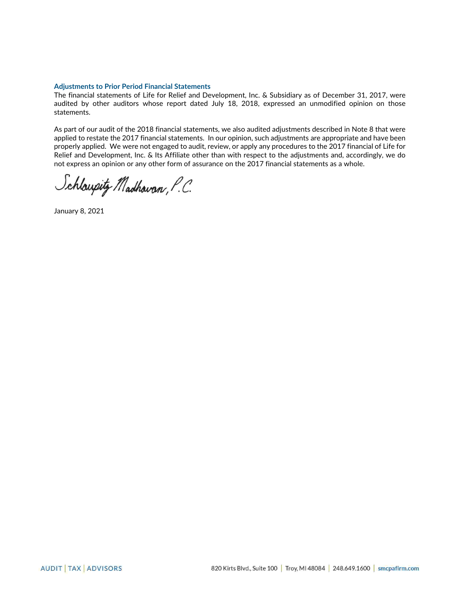#### **Adjustments to Prior Period Financial Statements**

The financial statements of Life for Relief and Development, Inc. & Subsidiary as of December 31, 2017, were audited by other auditors whose report dated July 18, 2018, expressed an unmodified opinion on those statements.

As part of our audit of the 2018 financial statements, we also audited adjustments described in Note 8 that were applied to restate the 2017 financial statements. In our opinion, such adjustments are appropriate and have been properly applied. We were not engaged to audit, review, or apply any procedures to the 2017 financial of Life for Relief and Development, Inc. & Its Affiliate other than with respect to the adjustments and, accordingly, we do not express an opinion or any other form of assurance on the 2017 financial statements as a whole.

Schlaupity Madhavan, P.C.

January 8, 2021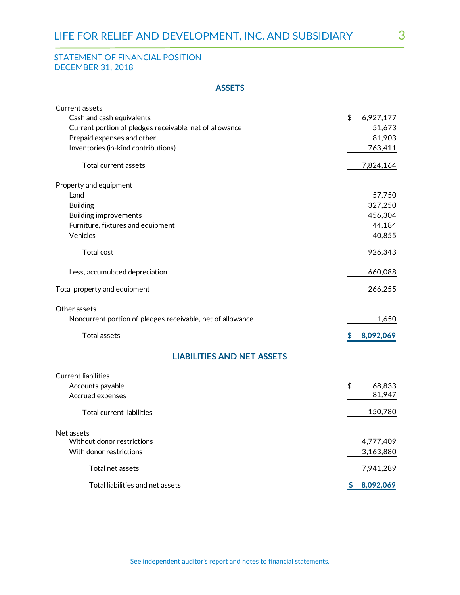# STATEMENT OF FINANCIAL POSITION DECEMBER 31, 2018

## **ASSETS**

| <b>Current assets</b>                                      |                 |
|------------------------------------------------------------|-----------------|
| Cash and cash equivalents                                  | \$<br>6,927,177 |
| Current portion of pledges receivable, net of allowance    | 51,673          |
| Prepaid expenses and other                                 | 81,903          |
| Inventories (in-kind contributions)                        | 763,411         |
| Total current assets                                       | 7,824,164       |
| Property and equipment                                     |                 |
| Land                                                       | 57,750          |
| <b>Building</b>                                            | 327,250         |
| <b>Building improvements</b>                               | 456,304         |
| Furniture, fixtures and equipment                          | 44,184          |
| Vehicles                                                   | 40,855          |
| Total cost                                                 | 926,343         |
| Less, accumulated depreciation                             | 660,088         |
| Total property and equipment                               | 266,255         |
| Other assets                                               |                 |
| Noncurrent portion of pledges receivable, net of allowance | 1,650           |
| <b>Total assets</b>                                        | 8,092,069<br>\$ |
| <b>LIABILITIES AND NET ASSETS</b>                          |                 |
| <b>Current liabilities</b>                                 |                 |
| Accounts payable                                           | \$<br>68,833    |
| Accrued expenses                                           | 81,947          |
|                                                            | 150,780         |
| Total current liabilities                                  |                 |
| Net assets                                                 |                 |
| Without donor restrictions                                 | 4,777,409       |
| With donor restrictions                                    | 3,163,880       |
| Total net assets                                           | 7,941,289       |
| Total liabilities and net assets                           | 8,092,069<br>\$ |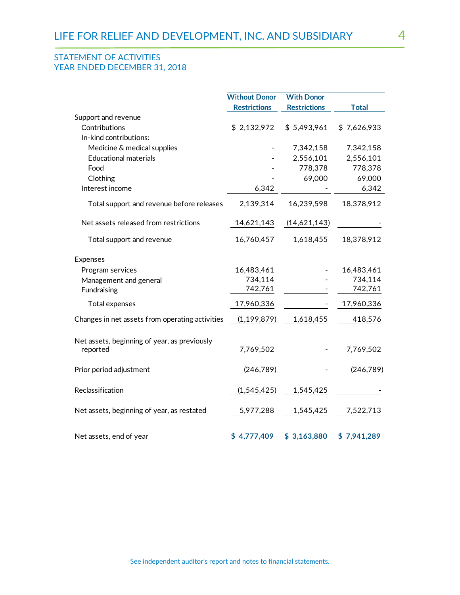## STATEMENT OF ACTIVITIES YEAR ENDED DECEMBER 31, 2018

|                                                 | <b>Without Donor</b> | <b>With Donor</b>   |              |
|-------------------------------------------------|----------------------|---------------------|--------------|
|                                                 | <b>Restrictions</b>  | <b>Restrictions</b> | <b>Total</b> |
| Support and revenue                             |                      |                     |              |
| Contributions                                   | \$2,132,972          | \$5,493,961         | \$7,626,933  |
| In-kind contributions:                          |                      |                     |              |
| Medicine & medical supplies                     |                      | 7,342,158           | 7,342,158    |
| <b>Educational materials</b>                    |                      | 2,556,101           | 2,556,101    |
| Food                                            |                      | 778,378             | 778,378      |
| Clothing                                        |                      | 69,000              | 69,000       |
| Interest income                                 | 6,342                |                     | 6,342        |
| Total support and revenue before releases       | 2,139,314            | 16,239,598          | 18,378,912   |
| Net assets released from restrictions           | 14,621,143           | (14,621,143)        |              |
| Total support and revenue                       | 16,760,457           | 1,618,455           | 18,378,912   |
| <b>Expenses</b>                                 |                      |                     |              |
| Program services                                | 16,483,461           |                     | 16,483,461   |
| Management and general                          | 734,114              |                     | 734,114      |
| Fundraising                                     | 742,761              |                     | 742,761      |
| Total expenses                                  | 17,960,336           |                     | 17,960,336   |
| Changes in net assets from operating activities | (1, 199, 879)        | 1,618,455           | 418,576      |
| Net assets, beginning of year, as previously    |                      |                     |              |
| reported                                        | 7,769,502            |                     | 7,769,502    |
| Prior period adjustment                         | (246, 789)           |                     | (246, 789)   |
| Reclassification                                | (1,545,425)          | 1,545,425           |              |
| Net assets, beginning of year, as restated      | 5,977,288            | 1,545,425           | 7,522,713    |
| Net assets, end of year                         | \$4,777,409          | \$3,163,880         | \$7,941,289  |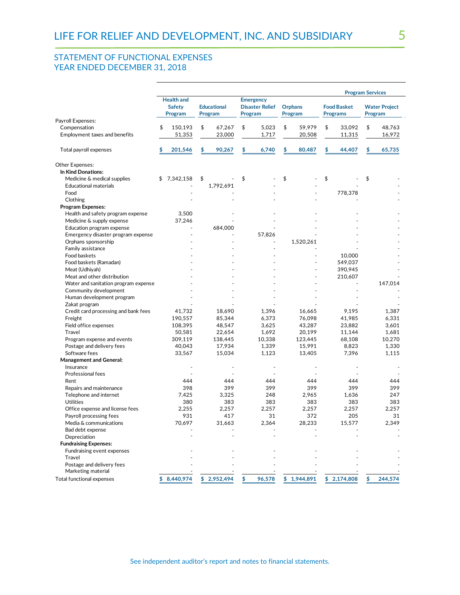## STATEMENT OF FUNCTIONAL EXPENSES YEAR ENDED DECEMBER 31, 2018

|                                      |                                               |                               |                                                       | <b>Program Services</b>   |                                       |                                 |  |
|--------------------------------------|-----------------------------------------------|-------------------------------|-------------------------------------------------------|---------------------------|---------------------------------------|---------------------------------|--|
|                                      | <b>Health and</b><br><b>Safety</b><br>Program | <b>Educational</b><br>Program | <b>Emergency</b><br><b>Disaster Relief</b><br>Program | <b>Orphans</b><br>Program | <b>Food Basket</b><br><b>Programs</b> | <b>Water Project</b><br>Program |  |
| Payroll Expenses:                    |                                               |                               |                                                       |                           |                                       |                                 |  |
| Compensation                         | \$<br>150,193                                 | \$<br>67,267                  | \$<br>5,023                                           | \$<br>59,979              | \$<br>33,092                          | \$<br>48,763                    |  |
| Employment taxes and benefits        | 51,353                                        | 23,000                        | 1,717                                                 | 20,508                    | 11,315                                | 16,972                          |  |
| Total payroll expenses               | \$<br>201,546                                 | \$<br>90,267                  | \$<br>6,740                                           | \$<br>80,487              | \$<br>44,407                          | \$<br>65,735                    |  |
| Other Expenses:                      |                                               |                               |                                                       |                           |                                       |                                 |  |
| In Kind Donations:                   |                                               |                               |                                                       |                           |                                       |                                 |  |
| Medicine & medical supplies          | 7,342,158<br>\$                               | \$                            | \$                                                    | \$                        | \$                                    | \$                              |  |
| <b>Educational materials</b>         |                                               | 1,792,691                     |                                                       |                           |                                       |                                 |  |
| Food                                 |                                               |                               |                                                       |                           | 778,378                               |                                 |  |
| Clothing                             |                                               |                               |                                                       |                           |                                       |                                 |  |
| <b>Program Expenses:</b>             |                                               |                               |                                                       |                           |                                       |                                 |  |
| Health and safety program expense    | 3,500                                         |                               |                                                       |                           |                                       |                                 |  |
| Medicine & supply expense            | 37,246                                        |                               |                                                       |                           |                                       |                                 |  |
| Education program expense            |                                               | 684,000                       |                                                       |                           |                                       |                                 |  |
| Emergency disaster program expense   | ٠                                             |                               | 57,826                                                |                           |                                       |                                 |  |
| Orphans sponsorship                  |                                               |                               |                                                       | 1,520,261                 |                                       |                                 |  |
| Family assistance                    |                                               |                               |                                                       |                           |                                       |                                 |  |
| Food baskets                         |                                               |                               |                                                       |                           | 10,000                                |                                 |  |
| Food baskets (Ramadan)               |                                               |                               |                                                       |                           | 549.037                               |                                 |  |
| Meat (Udhiyah)                       |                                               |                               |                                                       |                           | 390.945                               |                                 |  |
| Meat and other distribution          |                                               |                               |                                                       |                           | 210,607                               |                                 |  |
| Water and sanitation program expense |                                               |                               |                                                       |                           |                                       | 147,014                         |  |
| Community development                |                                               |                               |                                                       |                           |                                       |                                 |  |
| Human development program            |                                               |                               |                                                       |                           |                                       |                                 |  |
| Zakat program                        |                                               |                               |                                                       |                           |                                       |                                 |  |
| Credit card processing and bank fees | 41,732                                        | 18,690                        | 1,396                                                 | 16,665                    | 9,195                                 | 1,387                           |  |
| Freight                              | 190,557                                       | 85,344                        | 6,373                                                 | 76,098                    | 41,985                                | 6,331                           |  |
| Field office expenses                | 108,395                                       | 48,547                        | 3,625                                                 | 43,287                    | 23,882                                | 3,601                           |  |
| Travel                               | 50,581                                        | 22,654                        | 1,692                                                 | 20,199                    | 11,144                                | 1,681                           |  |
| Program expense and events           | 309,119                                       | 138,445                       | 10,338                                                | 123,445                   | 68,108                                | 10,270                          |  |
| Postage and delivery fees            | 40,043                                        | 17,934                        | 1,339                                                 | 15,991                    | 8,823                                 | 1,330                           |  |
| Software fees                        | 33,567                                        | 15,034                        | 1,123                                                 | 13,405                    | 7,396                                 | 1,115                           |  |
| <b>Management and General:</b>       |                                               |                               |                                                       |                           |                                       |                                 |  |
| Insurance                            |                                               |                               |                                                       |                           |                                       |                                 |  |
| <b>Professional fees</b>             |                                               |                               |                                                       |                           |                                       |                                 |  |
| Rent                                 | 444                                           | 444                           | 444                                                   | 444                       | 444                                   | 444                             |  |
| Repairs and maintenance              | 398                                           | 399                           | 399                                                   | 399                       | 399                                   | 399                             |  |
| Telephone and internet               | 7,425                                         | 3,325                         | 248                                                   | 2.965                     | 1,636                                 | 247                             |  |
| <b>Utilities</b>                     | 380                                           | 383                           | 383                                                   | 383                       | 383                                   | 383                             |  |
| Office expense and license fees      | 2,255                                         | 2,257                         | 2,257                                                 | 2,257                     | 2,257                                 | 2,257                           |  |
| Payroll processing fees              | 931                                           | 417                           | 31                                                    | 372                       | 205                                   | 31                              |  |
|                                      |                                               |                               |                                                       |                           |                                       |                                 |  |
| Media & communications               | 70,697                                        | 31,663                        | 2,364                                                 | 28,233                    | 15,577                                | 2,349                           |  |
| Bad debt expense                     |                                               |                               |                                                       |                           |                                       |                                 |  |
| Depreciation                         |                                               |                               |                                                       |                           |                                       |                                 |  |
| <b>Fundraising Expenses:</b>         |                                               |                               |                                                       |                           |                                       |                                 |  |
| Fundraising event expenses           |                                               |                               |                                                       |                           |                                       |                                 |  |
| Travel                               |                                               |                               |                                                       |                           |                                       |                                 |  |
| Postage and delivery fees            |                                               |                               |                                                       |                           |                                       |                                 |  |
| Marketing material                   |                                               |                               |                                                       |                           |                                       |                                 |  |
| <b>Total functional expenses</b>     | 8,440,974                                     | \$2,952,494                   | \$<br>96,578                                          | \$1,944,891               | \$2,174,808                           | 244,574<br>\$                   |  |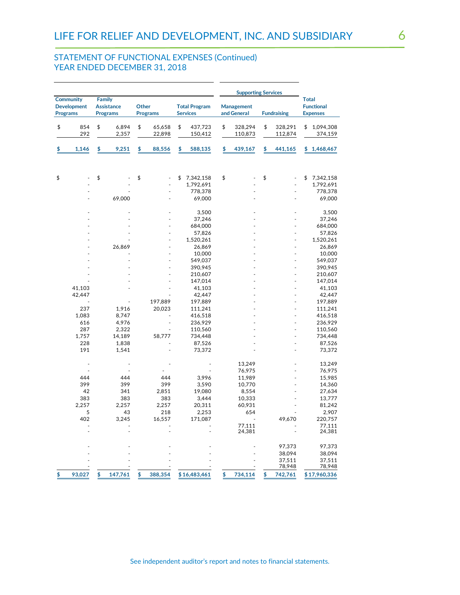## STATEMENT OF FUNCTIONAL EXPENSES (Continued) YEAR ENDED DECEMBER 31, 2018

|                    |                                   |       |                          |                      | <b>Supporting Services</b> |                    |              |                    |
|--------------------|-----------------------------------|-------|--------------------------|----------------------|----------------------------|--------------------|--------------|--------------------|
| <b>Community</b>   | <b>Family</b>                     |       |                          |                      |                            |                    | <b>Total</b> |                    |
| <b>Development</b> | <b>Assistance</b>                 | Other |                          | <b>Total Program</b> | <b>Management</b>          |                    |              | <b>Functional</b>  |
| <b>Programs</b>    | <b>Programs</b>                   |       | <b>Programs</b>          | <b>Services</b>      | and General                | <b>Fundraising</b> |              | <b>Expenses</b>    |
| \$<br>854          | \$<br>6,894                       | \$    | 65,658                   | \$<br>437,723        | \$<br>328,294              | \$<br>328,291      | \$           | 1,094,308          |
| 292                | 2,357                             |       | 22,898                   | 150,412              | 110,873                    | 112,874            |              | 374,159            |
|                    |                                   |       |                          |                      |                            |                    |              |                    |
| \$<br>1,146        | \$<br>9,251                       | \$    | 88,556                   | \$<br>588,135        | \$<br>439,167              | \$<br>441,165      | \$           | 1,468,467          |
|                    |                                   |       |                          |                      |                            |                    |              |                    |
|                    |                                   |       |                          |                      |                            |                    |              |                    |
|                    |                                   |       |                          |                      |                            |                    |              |                    |
| \$                 | \$                                | \$    |                          | \$<br>7,342,158      | \$                         | \$                 | \$           | 7,342,158          |
|                    |                                   |       | $\overline{a}$           | 1,792,691            |                            |                    |              | 1,792,691          |
|                    |                                   |       |                          | 778,378              |                            | L,                 |              | 778,378            |
|                    | 69,000                            |       |                          | 69,000               |                            |                    |              | 69,000             |
|                    |                                   |       |                          |                      |                            |                    |              |                    |
|                    |                                   |       |                          | 3,500                |                            |                    |              | 3,500              |
|                    |                                   |       |                          | 37,246               |                            |                    |              | 37,246             |
|                    |                                   |       |                          | 684,000              |                            |                    |              | 684,000            |
|                    |                                   |       |                          | 57,826               |                            |                    |              | 57,826             |
|                    |                                   |       |                          | 1,520,261            |                            |                    |              | 1,520,261          |
|                    | 26,869                            |       |                          | 26,869               |                            |                    |              | 26,869             |
|                    |                                   |       |                          | 10,000               |                            |                    |              | 10,000             |
|                    |                                   |       |                          | 549,037              |                            |                    |              | 549,037            |
|                    |                                   |       |                          | 390,945              |                            |                    |              | 390,945            |
|                    |                                   |       |                          | 210,607              |                            |                    |              | 210,607            |
|                    |                                   |       |                          | 147,014              |                            |                    |              | 147,014            |
| 41,103             |                                   |       |                          | 41,103               |                            |                    |              | 41,103             |
| 42,447             |                                   |       | 197,889                  | 42,447               |                            |                    |              | 42,447             |
|                    | $\overline{\phantom{0}}$<br>1,916 |       | 20,023                   | 197,889              |                            |                    |              | 197,889            |
| 237<br>1,083       | 8,747                             |       |                          | 111,241<br>416,518   |                            |                    |              | 111,241<br>416,518 |
| 616                | 4,976                             |       | $\overline{\phantom{a}}$ | 236,929              |                            |                    |              | 236,929            |
| 287                | 2,322                             |       | $\centerdot$             | 110,560              |                            |                    |              | 110,560            |
| 1,757              | 14,189                            |       | 58,777                   | 734,448              |                            |                    |              | 734,448            |
| 228                | 1,838                             |       |                          | 87,526               |                            |                    |              | 87,526             |
| 191                | 1,541                             |       |                          | 73,372               |                            |                    |              | 73,372             |
|                    |                                   |       |                          |                      |                            |                    |              |                    |
|                    |                                   |       |                          |                      | 13,249                     |                    |              | 13,249             |
|                    |                                   |       |                          |                      | 76,975                     |                    |              | 76,975             |
| 444                | 444                               |       | 444                      | 3,996                | 11,989                     |                    |              | 15,985             |
| 399                | 399                               |       | 399                      | 3,590                | 10,770                     |                    |              | 14,360             |
| 42                 | 341                               |       | 2,851                    | 19,080               | 8,554                      |                    |              | 27,634             |
| 383                | 383                               |       | 383                      | 3,444                | 10,333                     |                    |              | 13,777             |
| 2,257              | 2,257                             |       | 2,257                    | 20,311               | 60,931                     |                    |              | 81,242             |
| 5                  | 43                                |       | 218                      | 2,253                | 654                        |                    |              | 2,907              |
| 402                | 3,245                             |       | 16,557                   | 171,087              |                            | 49,670             |              | 220,757            |
|                    |                                   |       |                          |                      | 77,111                     |                    |              | 77,111             |
|                    |                                   |       |                          |                      | 24,381                     |                    |              | 24,381             |
|                    |                                   |       |                          |                      |                            |                    |              |                    |
|                    |                                   |       |                          |                      |                            | 97,373             |              | 97,373             |
|                    |                                   |       |                          |                      |                            | 38,094             |              | 38,094             |
|                    |                                   |       |                          |                      |                            | 37,511<br>78,948   |              | 37,511<br>78,948   |
|                    |                                   | \$    |                          | \$16,483,461         | \$                         |                    |              | \$17,960,336       |
| 93,027             | \$<br>147,761                     |       | 388,354                  |                      | 734,114                    | \$<br>742,761      |              |                    |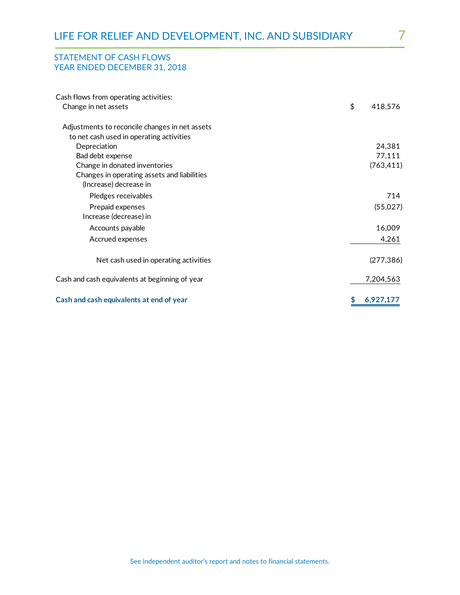## STATEMENT OF CASH FLOWS YEAR ENDED DECEMBER 31, 2018

| Cash flows from operating activities:          |               |
|------------------------------------------------|---------------|
| Change in net assets                           | \$<br>418,576 |
| Adjustments to reconcile changes in net assets |               |
| to net cash used in operating activities       |               |
| Depreciation                                   | 24,381        |
| Bad debt expense                               | 77,111        |
| Change in donated inventories                  | (763, 411)    |
| Changes in operating assets and liabilities    |               |
| (Increase) decrease in                         |               |
| Pledges receivables                            | 714           |
| Prepaid expenses                               | (55,027)      |
| Increase (decrease) in                         |               |
| Accounts payable                               | 16,009        |
| Accrued expenses                               | 4,261         |
| Net cash used in operating activities          | (277, 386)    |
| Cash and cash equivalents at beginning of year | 7,204,563     |
| Cash and cash equivalents at end of year       | 6,927,177     |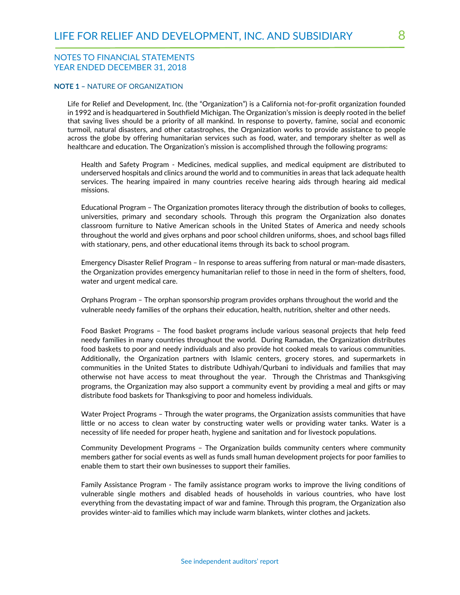#### **NOTE 1 –** NATURE OF ORGANIZATION

Life for Relief and Development, Inc. (the "Organization") is a California not-for-profit organization founded in 1992 and is headquartered in Southfield Michigan. The Organization's mission is deeply rooted in the belief that saving lives should be a priority of all mankind. In response to poverty, famine, social and economic turmoil, natural disasters, and other catastrophes, the Organization works to provide assistance to people across the globe by offering humanitarian services such as food, water, and temporary shelter as well as healthcare and education. The Organization's mission is accomplished through the following programs:

Health and Safety Program - Medicines, medical supplies, and medical equipment are distributed to underserved hospitals and clinics around the world and to communities in areas that lack adequate health services. The hearing impaired in many countries receive hearing aids through hearing aid medical missions.

Educational Program – The Organization promotes literacy through the distribution of books to colleges, universities, primary and secondary schools. Through this program the Organization also donates classroom furniture to Native American schools in the United States of America and needy schools throughout the world and gives orphans and poor school children uniforms, shoes, and school bags filled with stationary, pens, and other educational items through its back to school program.

Emergency Disaster Relief Program – In response to areas suffering from natural or man-made disasters, the Organization provides emergency humanitarian relief to those in need in the form of shelters, food, water and urgent medical care.

Orphans Program – The orphan sponsorship program provides orphans throughout the world and the vulnerable needy families of the orphans their education, health, nutrition, shelter and other needs.

Food Basket Programs – The food basket programs include various seasonal projects that help feed needy families in many countries throughout the world. During Ramadan, the Organization distributes food baskets to poor and needy individuals and also provide hot cooked meals to various communities. Additionally, the Organization partners with Islamic centers, grocery stores, and supermarkets in communities in the United States to distribute Udhiyah/Qurbani to individuals and families that may otherwise not have access to meat throughout the year. Through the Christmas and Thanksgiving programs, the Organization may also support a community event by providing a meal and gifts or may distribute food baskets for Thanksgiving to poor and homeless individuals.

Water Project Programs – Through the water programs, the Organization assists communities that have little or no access to clean water by constructing water wells or providing water tanks. Water is a necessity of life needed for proper heath, hygiene and sanitation and for livestock populations.

Community Development Programs – The Organization builds community centers where community members gather for social events as well as funds small human development projects for poor families to enable them to start their own businesses to support their families.

Family Assistance Program - The family assistance program works to improve the living conditions of vulnerable single mothers and disabled heads of households in various countries, who have lost everything from the devastating impact of war and famine. Through this program, the Organization also provides winter-aid to families which may include warm blankets, winter clothes and jackets.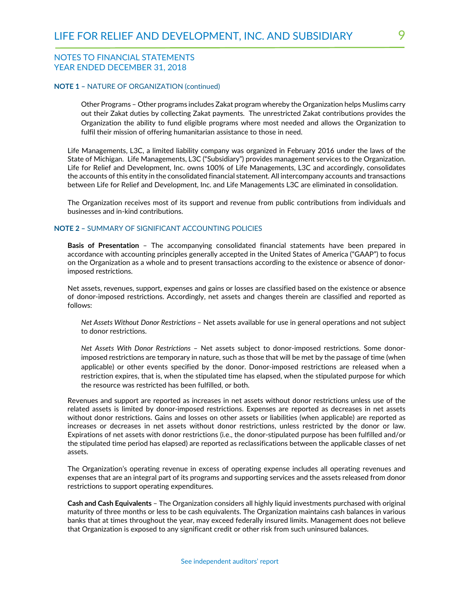#### **NOTE 1 –** NATURE OF ORGANIZATION (continued)

Other Programs – Other programs includes Zakat program whereby the Organization helps Muslims carry out their Zakat duties by collecting Zakat payments. The unrestricted Zakat contributions provides the Organization the ability to fund eligible programs where most needed and allows the Organization to fulfil their mission of offering humanitarian assistance to those in need.

Life Managements, L3C, a limited liability company was organized in February 2016 under the laws of the State of Michigan. Life Managements, L3C ("Subsidiary") provides management services to the Organization. Life for Relief and Development, Inc. owns 100% of Life Managements, L3C and accordingly, consolidates the accounts of this entity in the consolidated financial statement. All intercompany accounts and transactions between Life for Relief and Development, Inc. and Life Managements L3C are eliminated in consolidation.

The Organization receives most of its support and revenue from public contributions from individuals and businesses and in-kind contributions.

#### **NOTE 2 –** SUMMARY OF SIGNIFICANT ACCOUNTING POLICIES

**Basis of Presentation** – The accompanying consolidated financial statements have been prepared in accordance with accounting principles generally accepted in the United States of America ("GAAP") to focus on the Organization as a whole and to present transactions according to the existence or absence of donorimposed restrictions.

Net assets, revenues, support, expenses and gains or losses are classified based on the existence or absence of donor-imposed restrictions. Accordingly, net assets and changes therein are classified and reported as follows:

*Net Assets Without Donor Restrictions* – Net assets available for use in general operations and not subject to donor restrictions.

*Net Assets With Donor Restrictions* – Net assets subject to donor-imposed restrictions. Some donorimposed restrictions are temporary in nature, such as those that will be met by the passage of time (when applicable) or other events specified by the donor. Donor-imposed restrictions are released when a restriction expires, that is, when the stipulated time has elapsed, when the stipulated purpose for which the resource was restricted has been fulfilled, or both.

Revenues and support are reported as increases in net assets without donor restrictions unless use of the related assets is limited by donor-imposed restrictions. Expenses are reported as decreases in net assets without donor restrictions. Gains and losses on other assets or liabilities (when applicable) are reported as increases or decreases in net assets without donor restrictions, unless restricted by the donor or law. Expirations of net assets with donor restrictions (i.e., the donor-stipulated purpose has been fulfilled and/or the stipulated time period has elapsed) are reported as reclassifications between the applicable classes of net assets.

The Organization's operating revenue in excess of operating expense includes all operating revenues and expenses that are an integral part of its programs and supporting services and the assets released from donor restrictions to support operating expenditures.

**Cash and Cash Equivalents** – The Organization considers all highly liquid investments purchased with original maturity of three months or less to be cash equivalents. The Organization maintains cash balances in various banks that at times throughout the year, may exceed federally insured limits. Management does not believe that Organization is exposed to any significant credit or other risk from such uninsured balances.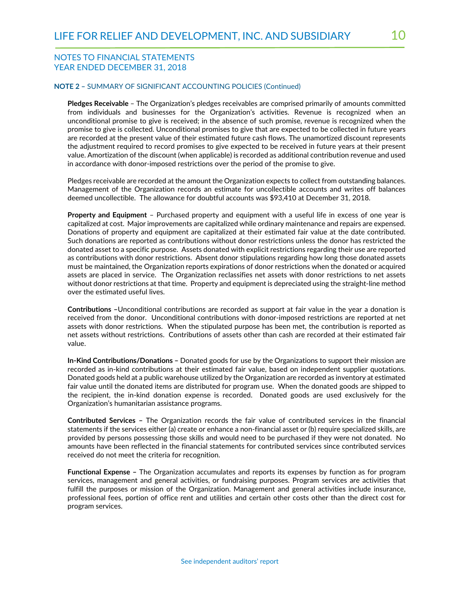#### **NOTE 2 –** SUMMARY OF SIGNIFICANT ACCOUNTING POLICIES (Continued)

**Pledges Receivable** – The Organization's pledges receivables are comprised primarily of amounts committed from individuals and businesses for the Organization's activities. Revenue is recognized when an unconditional promise to give is received; in the absence of such promise, revenue is recognized when the promise to give is collected. Unconditional promises to give that are expected to be collected in future years are recorded at the present value of their estimated future cash flows. The unamortized discount represents the adjustment required to record promises to give expected to be received in future years at their present value. Amortization of the discount (when applicable) is recorded as additional contribution revenue and used in accordance with donor-imposed restrictions over the period of the promise to give.

Pledges receivable are recorded at the amount the Organization expects to collect from outstanding balances. Management of the Organization records an estimate for uncollectible accounts and writes off balances deemed uncollectible. The allowance for doubtful accounts was \$93,410 at December 31, 2018.

**Property and Equipment** – Purchased property and equipment with a useful life in excess of one year is capitalized at cost. Major improvements are capitalized while ordinary maintenance and repairs are expensed. Donations of property and equipment are capitalized at their estimated fair value at the date contributed. Such donations are reported as contributions without donor restrictions unless the donor has restricted the donated asset to a specific purpose. Assets donated with explicit restrictions regarding their use are reported as contributions with donor restrictions. Absent donor stipulations regarding how long those donated assets must be maintained, the Organization reports expirations of donor restrictions when the donated or acquired assets are placed in service. The Organization reclassifies net assets with donor restrictions to net assets without donor restrictions at that time. Property and equipment is depreciated using the straight-line method over the estimated useful lives.

**Contributions –**Unconditional contributions are recorded as support at fair value in the year a donation is received from the donor. Unconditional contributions with donor-imposed restrictions are reported at net assets with donor restrictions. When the stipulated purpose has been met, the contribution is reported as net assets without restrictions. Contributions of assets other than cash are recorded at their estimated fair value.

**In-Kind Contributions/Donations –** Donated goods for use by the Organizations to support their mission are recorded as in-kind contributions at their estimated fair value, based on independent supplier quotations. Donated goods held at a public warehouse utilized by the Organization are recorded as inventory at estimated fair value until the donated items are distributed for program use. When the donated goods are shipped to the recipient, the in-kind donation expense is recorded. Donated goods are used exclusively for the Organization's humanitarian assistance programs.

**Contributed Services –** The Organization records the fair value of contributed services in the financial statements if the services either (a) create or enhance a non-financial asset or (b) require specialized skills, are provided by persons possessing those skills and would need to be purchased if they were not donated. No amounts have been reflected in the financial statements for contributed services since contributed services received do not meet the criteria for recognition.

**Functional Expense –** The Organization accumulates and reports its expenses by function as for program services, management and general activities, or fundraising purposes. Program services are activities that fulfill the purposes or mission of the Organization. Management and general activities include insurance, professional fees, portion of office rent and utilities and certain other costs other than the direct cost for program services.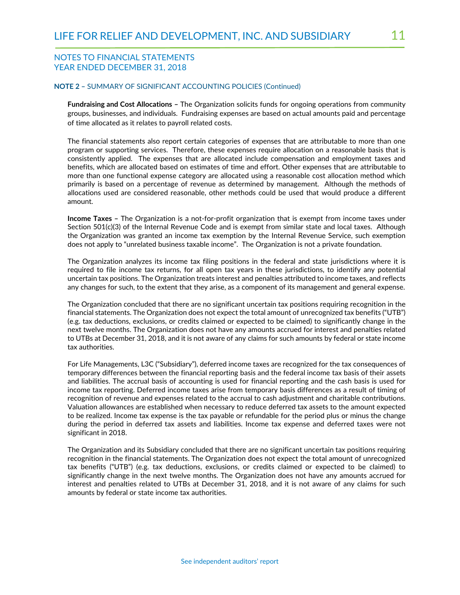#### **NOTE 2 –** SUMMARY OF SIGNIFICANT ACCOUNTING POLICIES (Continued)

**Fundraising and Cost Allocations –** The Organization solicits funds for ongoing operations from community groups, businesses, and individuals. Fundraising expenses are based on actual amounts paid and percentage of time allocated as it relates to payroll related costs.

The financial statements also report certain categories of expenses that are attributable to more than one program or supporting services. Therefore, these expenses require allocation on a reasonable basis that is consistently applied. The expenses that are allocated include compensation and employment taxes and benefits, which are allocated based on estimates of time and effort. Other expenses that are attributable to more than one functional expense category are allocated using a reasonable cost allocation method which primarily is based on a percentage of revenue as determined by management. Although the methods of allocations used are considered reasonable, other methods could be used that would produce a different amount.

**Income Taxes –** The Organization is a not-for-profit organization that is exempt from income taxes under Section 501(c)(3) of the Internal Revenue Code and is exempt from similar state and local taxes. Although the Organization was granted an income tax exemption by the Internal Revenue Service, such exemption does not apply to "unrelated business taxable income". The Organization is not a private foundation.

The Organization analyzes its income tax filing positions in the federal and state jurisdictions where it is required to file income tax returns, for all open tax years in these jurisdictions, to identify any potential uncertain tax positions. The Organization treats interest and penalties attributed to income taxes, and reflects any changes for such, to the extent that they arise, as a component of its management and general expense.

The Organization concluded that there are no significant uncertain tax positions requiring recognition in the financial statements. The Organization does not expect the total amount of unrecognized tax benefits ("UTB") (e.g. tax deductions, exclusions, or credits claimed or expected to be claimed) to significantly change in the next twelve months. The Organization does not have any amounts accrued for interest and penalties related to UTBs at December 31, 2018, and it is not aware of any claims for such amounts by federal or state income tax authorities.

For Life Managements, L3C ("Subsidiary"), deferred income taxes are recognized for the tax consequences of temporary differences between the financial reporting basis and the federal income tax basis of their assets and liabilities. The accrual basis of accounting is used for financial reporting and the cash basis is used for income tax reporting. Deferred income taxes arise from temporary basis differences as a result of timing of recognition of revenue and expenses related to the accrual to cash adjustment and charitable contributions. Valuation allowances are established when necessary to reduce deferred tax assets to the amount expected to be realized. Income tax expense is the tax payable or refundable for the period plus or minus the change during the period in deferred tax assets and liabilities. Income tax expense and deferred taxes were not significant in 2018.

The Organization and its Subsidiary concluded that there are no significant uncertain tax positions requiring recognition in the financial statements. The Organization does not expect the total amount of unrecognized tax benefits ("UTB") (e.g. tax deductions, exclusions, or credits claimed or expected to be claimed) to significantly change in the next twelve months. The Organization does not have any amounts accrued for interest and penalties related to UTBs at December 31, 2018, and it is not aware of any claims for such amounts by federal or state income tax authorities.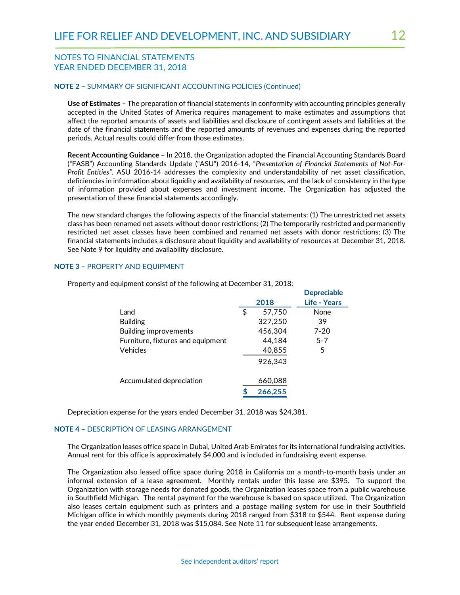#### **NOTE 2 –** SUMMARY OF SIGNIFICANT ACCOUNTING POLICIES (Continued)

**Use of Estimates** – The preparation of financial statements in conformity with accounting principles generally accepted in the United States of America requires management to make estimates and assumptions that affect the reported amounts of assets and liabilities and disclosure of contingent assets and liabilities at the date of the financial statements and the reported amounts of revenues and expenses during the reported periods. Actual results could differ from those estimates.

**Recent Accounting Guidance** – In 2018, the Organization adopted the Financial Accounting Standards Board ("FASB") Accounting Standards Update ("ASU") 2016-14, "*Presentation of Financial Statements of Not-For-Profit Entities"*. ASU 2016-14 addresses the complexity and understandability of net asset classification, deficiencies in information about liquidity and availability of resources, and the lack of consistency in the type of information provided about expenses and investment income. The Organization has adjusted the presentation of these financial statements accordingly.

The new standard changes the following aspects of the financial statements: (1) The unrestricted net assets class has been renamed net assets without donor restrictions; (2) The temporarily restricted and permanently restricted net asset classes have been combined and renamed net assets with donor restrictions; (3) The financial statements includes a disclosure about liquidity and availability of resources at December 31, 2018. See Note 9 for liquidity and availability disclosure.

 **Depreciable**

#### **NOTE 3 –** PROPERTY AND EQUIPMENT

|                                   |              | DEPI ECIADIE        |
|-----------------------------------|--------------|---------------------|
|                                   | 2018         | <b>Life - Years</b> |
| Land                              | \$<br>57,750 | None                |
| <b>Building</b>                   | 327,250      | 39                  |
| Building improvements             | 456,304      | $7 - 20$            |
| Furniture, fixtures and equipment | 44.184       | $5 - 7$             |
| Vehicles                          | 40,855       | 5                   |
|                                   | 926.343      |                     |
| Accumulated depreciation          | 660,088      |                     |
|                                   | 266.255      |                     |

Property and equipment consist of the following at December 31, 2018:

Depreciation expense for the years ended December 31, 2018 was \$24,381.

#### **NOTE 4 –** DESCRIPTION OF LEASING ARRANGEMENT

The Organization leases office space in Dubai, United Arab Emirates for its international fundraising activities. Annual rent for this office is approximately \$4,000 and is included in fundraising event expense.

The Organization also leased office space during 2018 in California on a month-to-month basis under an informal extension of a lease agreement. Monthly rentals under this lease are \$395. To support the Organization with storage needs for donated goods, the Organization leases space from a public warehouse in Southfield Michigan. The rental payment for the warehouse is based on space utilized. The Organization also leases certain equipment such as printers and a postage mailing system for use in their Southfield Michigan office in which monthly payments during 2018 ranged from \$318 to \$544. Rent expense during the year ended December 31, 2018 was \$15,084. See Note 11 for subsequent lease arrangements.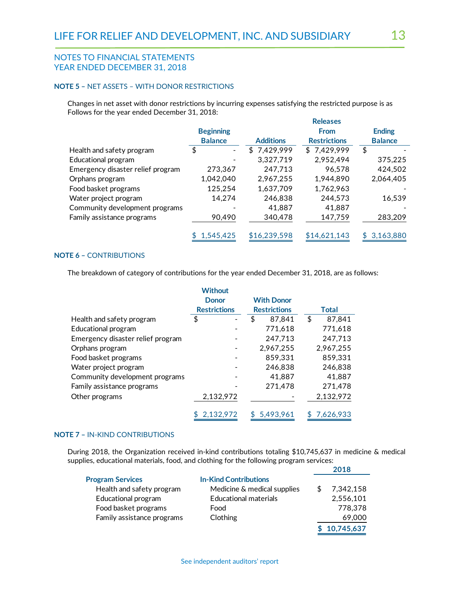#### **NOTE 5 –** NET ASSETS – WITH DONOR RESTRICTIONS

Changes in net asset with donor restrictions by incurring expenses satisfying the restricted purpose is as Follows for the year ended December 31, 2018: **Releases** 

|                                   |                      |                  | Releases            |                |
|-----------------------------------|----------------------|------------------|---------------------|----------------|
|                                   | <b>Beginning</b>     |                  | <b>From</b>         | <b>Ending</b>  |
|                                   | <b>Balance</b>       | <b>Additions</b> | <b>Restrictions</b> | <b>Balance</b> |
| Health and safety program         | \$<br>$\blacksquare$ | 7,429,999<br>S.  | \$7,429,999         | \$             |
| Educational program               |                      | 3,327,719        | 2,952,494           | 375,225        |
| Emergency disaster relief program | 273,367              | 247,713          | 96,578              | 424,502        |
| Orphans program                   | 1,042,040            | 2,967,255        | 1,944,890           | 2,064,405      |
| Food basket programs              | 125,254              | 1,637,709        | 1,762,963           |                |
| Water project program             | 14,274               | 246,838          | 244,573             | 16,539         |
| Community development programs    |                      | 41,887           | 41,887              |                |
| Family assistance programs        | 90,490               | 340,478          | 147,759             | 283,209        |
|                                   | 1,545,425            | \$16,239,598     | \$14,621,143        | 3,163,880      |

#### **NOTE 6 –** CONTRIBUTIONS

The breakdown of category of contributions for the year ended December 31, 2018, are as follows:

|                                   | <b>Without</b>      |                     |              |
|-----------------------------------|---------------------|---------------------|--------------|
|                                   | <b>Donor</b>        | <b>With Donor</b>   |              |
|                                   | <b>Restrictions</b> | <b>Restrictions</b> | Total        |
| Health and safety program         | \$                  | \$<br>87,841        | \$<br>87,841 |
| Educational program               |                     | 771,618             | 771,618      |
| Emergency disaster relief program |                     | 247,713             | 247,713      |
| Orphans program                   |                     | 2,967,255           | 2,967,255    |
| Food basket programs              |                     | 859,331             | 859,331      |
| Water project program             |                     | 246,838             | 246.838      |
| Community development programs    |                     | 41,887              | 41,887       |
| Family assistance programs        |                     | 271,478             | 271,478      |
| Other programs                    | 2,132,972           |                     | 2,132,972    |
|                                   | 2,132,972           | 5,493,961           | 7,626,933    |

#### **NOTE 7 –** IN-KIND CONTRIBUTIONS

During 2018, the Organization received in-kind contributions totaling \$10,745,637 in medicine & medical supplies, educational materials, food, and clothing for the following program services: **2018**

|                            |                              | zv.v       |
|----------------------------|------------------------------|------------|
| <b>Program Services</b>    | <b>In-Kind Contributions</b> |            |
| Health and safety program  | Medicine & medical supplies  | 7,342,158  |
| Educational program        | <b>Educational materials</b> | 2,556,101  |
| Food basket programs       | Food                         | 778.378    |
| Family assistance programs | Clothing                     | 69,000     |
|                            |                              | 10,745,637 |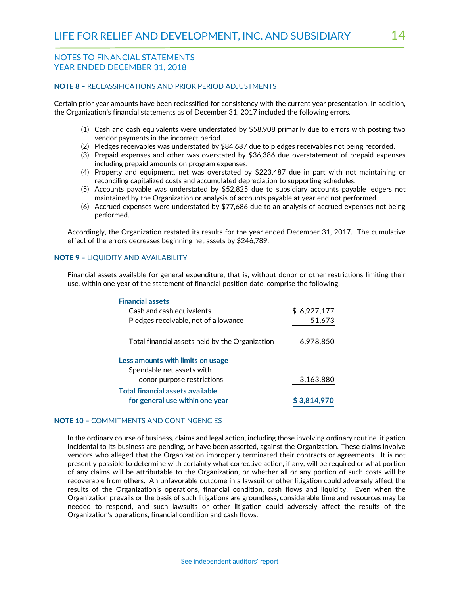#### **NOTE 8 –** RECLASSIFICATIONS AND PRIOR PERIOD ADJUSTMENTS

Certain prior year amounts have been reclassified for consistency with the current year presentation. In addition, the Organization's financial statements as of December 31, 2017 included the following errors.

- (1) Cash and cash equivalents were understated by \$58,908 primarily due to errors with posting two vendor payments in the incorrect period.
- (2) Pledges receivables was understated by \$84,687 due to pledges receivables not being recorded.
- (3) Prepaid expenses and other was overstated by \$36,386 due overstatement of prepaid expenses including prepaid amounts on program expenses.
- (4) Property and equipment, net was overstated by \$223,487 due in part with not maintaining or reconciling capitalized costs and accumulated depreciation to supporting schedules.
- (5) Accounts payable was understated by \$52,825 due to subsidiary accounts payable ledgers not maintained by the Organization or analysis of accounts payable at year end not performed.
- (6) Accrued expenses were understated by \$77,686 due to an analysis of accrued expenses not being performed.

Accordingly, the Organization restated its results for the year ended December 31, 2017. The cumulative effect of the errors decreases beginning net assets by \$246,789.

#### **NOTE 9 –** LIQUIDITY AND AVAILABILITY

Financial assets available for general expenditure, that is, without donor or other restrictions limiting their use, within one year of the statement of financial position date, comprise the following:

| <b>Financial assets</b>                         |              |
|-------------------------------------------------|--------------|
| Cash and cash equivalents                       | \$6,927,177  |
| Pledges receivable, net of allowance            | 51,673       |
| Total financial assets held by the Organization | 6.978.850    |
| Less amounts with limits on usage               |              |
| Spendable net assets with                       |              |
| donor purpose restrictions                      | 3,163,880    |
| <b>Total financial assets available</b>         |              |
| for general use within one year                 | \$ 3.814.970 |

#### **NOTE 10 –** COMMITMENTS AND CONTINGENCIES

In the ordinary course of business, claims and legal action, including those involving ordinary routine litigation incidental to its business are pending, or have been asserted, against the Organization. These claims involve vendors who alleged that the Organization improperly terminated their contracts or agreements. It is not presently possible to determine with certainty what corrective action, if any, will be required or what portion of any claims will be attributable to the Organization, or whether all or any portion of such costs will be recoverable from others. An unfavorable outcome in a lawsuit or other litigation could adversely affect the results of the Organization's operations, financial condition, cash flows and liquidity. Even when the Organization prevails or the basis of such litigations are groundless, considerable time and resources may be needed to respond, and such lawsuits or other litigation could adversely affect the results of the Organization's operations, financial condition and cash flows.